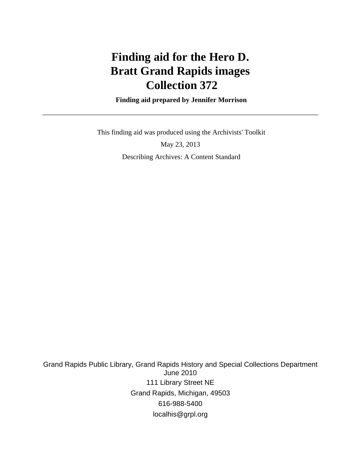# **Finding aid for the Hero D. Bratt Grand Rapids images Collection 372**

 **Finding aid prepared by Jennifer Morrison**

 This finding aid was produced using the Archivists' Toolkit May 23, 2013 Describing Archives: A Content Standard

Grand Rapids Public Library, Grand Rapids History and Special Collections Department June 2010 111 Library Street NE Grand Rapids, Michigan, 49503 616-988-5400 localhis@grpl.org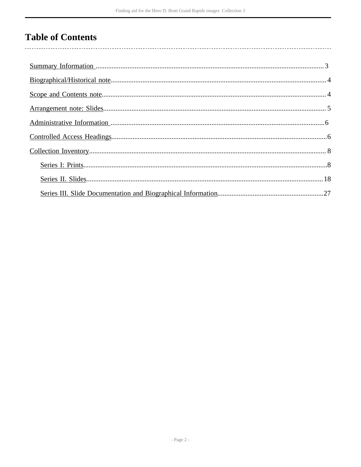# **Table of Contents**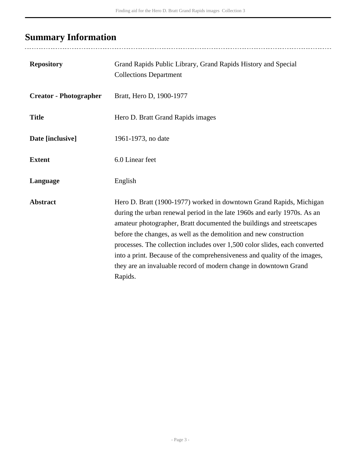# <span id="page-2-0"></span>**Summary Information**

| <b>Repository</b>             | Grand Rapids Public Library, Grand Rapids History and Special<br><b>Collections Department</b>                                                                                                                                                                                                                                                                                                                                                                                                                                           |
|-------------------------------|------------------------------------------------------------------------------------------------------------------------------------------------------------------------------------------------------------------------------------------------------------------------------------------------------------------------------------------------------------------------------------------------------------------------------------------------------------------------------------------------------------------------------------------|
| <b>Creator - Photographer</b> | Bratt, Hero D, 1900-1977                                                                                                                                                                                                                                                                                                                                                                                                                                                                                                                 |
| <b>Title</b>                  | Hero D. Bratt Grand Rapids images                                                                                                                                                                                                                                                                                                                                                                                                                                                                                                        |
| Date [inclusive]              | 1961-1973, no date                                                                                                                                                                                                                                                                                                                                                                                                                                                                                                                       |
| <b>Extent</b>                 | 6.0 Linear feet                                                                                                                                                                                                                                                                                                                                                                                                                                                                                                                          |
| Language                      | English                                                                                                                                                                                                                                                                                                                                                                                                                                                                                                                                  |
| <b>Abstract</b>               | Hero D. Bratt (1900-1977) worked in downtown Grand Rapids, Michigan<br>during the urban renewal period in the late 1960s and early 1970s. As an<br>amateur photographer, Bratt documented the buildings and streetscapes<br>before the changes, as well as the demolition and new construction<br>processes. The collection includes over 1,500 color slides, each converted<br>into a print. Because of the comprehensiveness and quality of the images,<br>they are an invaluable record of modern change in downtown Grand<br>Rapids. |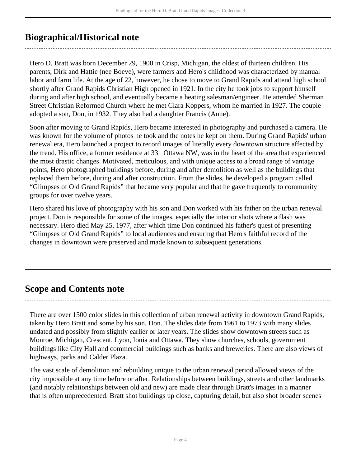# <span id="page-3-0"></span>**Biographical/Historical note**

Hero D. Bratt was born December 29, 1900 in Crisp, Michigan, the oldest of thirteen children. His parents, Dirk and Hattie (nee Boeve), were farmers and Hero's childhood was characterized by manual labor and farm life. At the age of 22, however, he chose to move to Grand Rapids and attend high school shortly after Grand Rapids Christian High opened in 1921. In the city he took jobs to support himself during and after high school, and eventually became a heating salesman/engineer. He attended Sherman Street Christian Reformed Church where he met Clara Koppers, whom he married in 1927. The couple adopted a son, Don, in 1932. They also had a daughter Francis (Anne).

Soon after moving to Grand Rapids, Hero became interested in photography and purchased a camera. He was known for the volume of photos he took and the notes he kept on them. During Grand Rapids' urban renewal era, Hero launched a project to record images of literally every downtown structure affected by the trend. His office, a former residence at 331 Ottawa NW, was in the heart of the area that experienced the most drastic changes. Motivated, meticulous, and with unique access to a broad range of vantage points, Hero photographed buildings before, during and after demolition as well as the buildings that replaced them before, during and after construction. From the slides, he developed a program called "Glimpses of Old Grand Rapids" that became very popular and that he gave frequently to community groups for over twelve years.

Hero shared his love of photography with his son and Don worked with his father on the urban renewal project. Don is responsible for some of the images, especially the interior shots where a flash was necessary. Hero died May 25, 1977, after which time Don continued his father's quest of presenting "Glimpses of Old Grand Rapids" to local audiences and ensuring that Hero's faithful record of the changes in downtown were preserved and made known to subsequent generations.

# <span id="page-3-1"></span>**Scope and Contents note**

There are over 1500 color slides in this collection of urban renewal activity in downtown Grand Rapids, taken by Hero Bratt and some by his son, Don. The slides date from 1961 to 1973 with many slides undated and possibly from slightly earlier or later years. The slides show downtown streets such as Monroe, Michigan, Crescent, Lyon, Ionia and Ottawa. They show churches, schools, government buildings like City Hall and commercial buildings such as banks and breweries. There are also views of highways, parks and Calder Plaza.

The vast scale of demolition and rebuilding unique to the urban renewal period allowed views of the city impossible at any time before or after. Relationships between buildings, streets and other landmarks (and notably relationships between old and new) are made clear through Bratt's images in a manner that is often unprecedented. Bratt shot buildings up close, capturing detail, but also shot broader scenes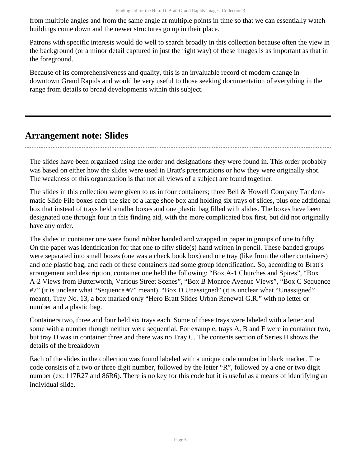from multiple angles and from the same angle at multiple points in time so that we can essentially watch buildings come down and the newer structures go up in their place.

Patrons with specific interests would do well to search broadly in this collection because often the view in the background (or a minor detail captured in just the right way) of these images is as important as that in the foreground.

Because of its comprehensiveness and quality, this is an invaluable record of modern change in downtown Grand Rapids and would be very useful to those seeking documentation of everything in the range from details to broad developments within this subject.

# <span id="page-4-0"></span>**Arrangement note: Slides**

The slides have been organized using the order and designations they were found in. This order probably was based on either how the slides were used in Bratt's presentations or how they were originally shot. The weakness of this organization is that not all views of a subject are found together.

The slides in this collection were given to us in four containers; three Bell & Howell Company Tandemmatic Slide File boxes each the size of a large shoe box and holding six trays of slides, plus one additional box that instead of trays held smaller boxes and one plastic bag filled with slides. The boxes have been designated one through four in this finding aid, with the more complicated box first, but did not originally have any order.

The slides in container one were found rubber banded and wrapped in paper in groups of one to fifty. On the paper was identification for that one to fifty slide(s) hand written in pencil. These banded groups were separated into small boxes (one was a check book box) and one tray (like from the other containers) and one plastic bag, and each of these containers had some group identification. So, according to Bratt's arrangement and description, container one held the following: "Box A-1 Churches and Spires", "Box A-2 Views from Butterworth, Various Street Scenes", "Box B Monroe Avenue Views", "Box C Sequence #7" (it is unclear what "Sequence #7" meant), "Box D Unassigned" (it is unclear what "Unassigned" meant), Tray No. 13, a box marked only "Hero Bratt Slides Urban Renewal G.R." with no letter or number and a plastic bag.

Containers two, three and four held six trays each. Some of these trays were labeled with a letter and some with a number though neither were sequential. For example, trays A, B and F were in container two, but tray D was in container three and there was no Tray C. The contents section of Series II shows the details of the breakdown

Each of the slides in the collection was found labeled with a unique code number in black marker. The code consists of a two or three digit number, followed by the letter "R", followed by a one or two digit number (ex: 117R27 and 86R6). There is no key for this code but it is useful as a means of identifying an individual slide.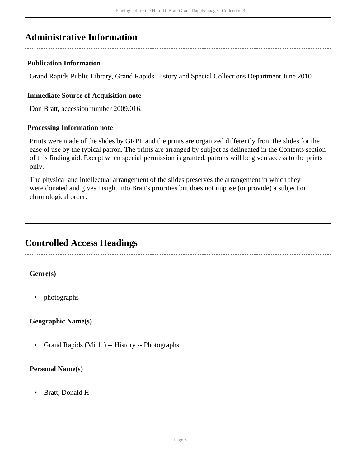# <span id="page-5-0"></span>**Administrative Information**

### **Publication Information**

Grand Rapids Public Library, Grand Rapids History and Special Collections Department June 2010

### **Immediate Source of Acquisition note**

Don Bratt, accession number 2009.016.

#### **Processing Information note**

Prints were made of the slides by GRPL and the prints are organized differently from the slides for the ease of use by the typical patron. The prints are arranged by subject as delineated in the Contents section of this finding aid. Except when special permission is granted, patrons will be given access to the prints only.

The physical and intellectual arrangement of the slides preserves the arrangement in which they were donated and gives insight into Bratt's priorities but does not impose (or provide) a subject or chronological order.

# <span id="page-5-1"></span>**Controlled Access Headings**

### **Genre(s)**

• photographs

### **Geographic Name(s)**

• Grand Rapids (Mich.) -- History -- Photographs

#### **Personal Name(s)**

• Bratt, Donald H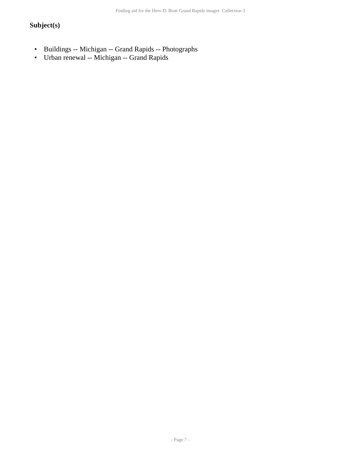## **Subject(s)**

- Buildings -- Michigan -- Grand Rapids -- Photographs
- Urban renewal -- Michigan -- Grand Rapids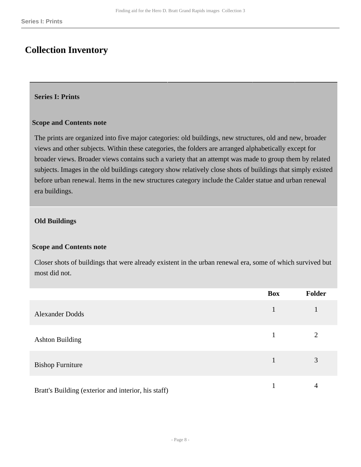# <span id="page-7-0"></span>**Collection Inventory**

#### <span id="page-7-1"></span>**Series I: Prints**

#### **Scope and Contents note**

The prints are organized into five major categories: old buildings, new structures, old and new, broader views and other subjects. Within these categories, the folders are arranged alphabetically except for broader views. Broader views contains such a variety that an attempt was made to group them by related subjects. Images in the old buildings category show relatively close shots of buildings that simply existed before urban renewal. Items in the new structures category include the Calder statue and urban renewal era buildings.

#### **Old Buildings**

#### **Scope and Contents note**

Closer shots of buildings that were already existent in the urban renewal era, some of which survived but most did not.

|                                                     | <b>Box</b>   | Folder         |
|-----------------------------------------------------|--------------|----------------|
| <b>Alexander Dodds</b>                              | $\mathbf{1}$ | 1              |
| <b>Ashton Building</b>                              |              | $\overline{2}$ |
| <b>Bishop Furniture</b>                             |              | 3              |
| Bratt's Building (exterior and interior, his staff) |              | 4              |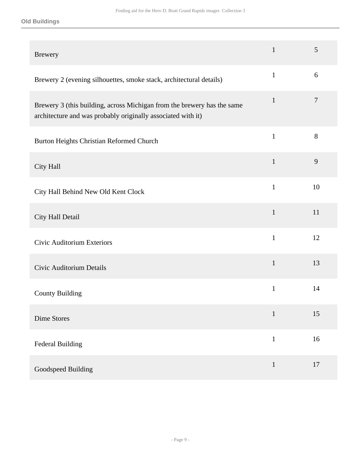| <b>Brewery</b>                                                                                                                          | $\mathbf{1}$ | 5      |
|-----------------------------------------------------------------------------------------------------------------------------------------|--------------|--------|
| Brewery 2 (evening silhouettes, smoke stack, architectural details)                                                                     | $\mathbf{1}$ | 6      |
| Brewery 3 (this building, across Michigan from the brewery has the same<br>architecture and was probably originally associated with it) | $\mathbf{1}$ | $\tau$ |
| Burton Heights Christian Reformed Church                                                                                                | $\mathbf{1}$ | $8\,$  |
| City Hall                                                                                                                               | $\mathbf{1}$ | 9      |
| City Hall Behind New Old Kent Clock                                                                                                     | $\mathbf{1}$ | 10     |
| City Hall Detail                                                                                                                        | $\mathbf{1}$ | 11     |
| <b>Civic Auditorium Exteriors</b>                                                                                                       | $\mathbf{1}$ | 12     |
| Civic Auditorium Details                                                                                                                | $\mathbf{1}$ | 13     |
| <b>County Building</b>                                                                                                                  | $\mathbf{1}$ | 14     |
| Dime Stores                                                                                                                             | $\mathbf{1}$ | 15     |
| <b>Federal Building</b>                                                                                                                 | $\mathbf{1}$ | 16     |
| Goodspeed Building                                                                                                                      | $\mathbf{1}$ | 17     |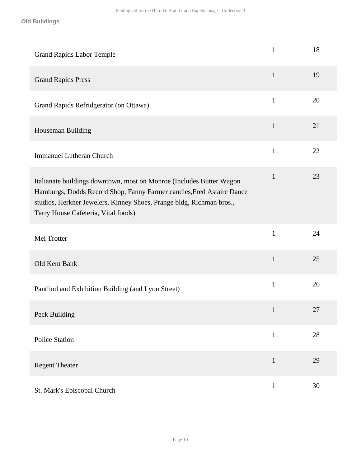| <b>Grand Rapids Labor Temple</b>                                                                                                                                                                                                                             | $\mathbf{1}$ | 18 |
|--------------------------------------------------------------------------------------------------------------------------------------------------------------------------------------------------------------------------------------------------------------|--------------|----|
| <b>Grand Rapids Press</b>                                                                                                                                                                                                                                    | $\mathbf{1}$ | 19 |
| Grand Rapids Refridgerator (on Ottawa)                                                                                                                                                                                                                       | $\mathbf{1}$ | 20 |
| Houseman Building                                                                                                                                                                                                                                            | $\mathbf{1}$ | 21 |
| <b>Immanuel Lutheran Church</b>                                                                                                                                                                                                                              | $\mathbf{1}$ | 22 |
| Italianate buildings downtown, most on Monroe (Includes Butter Wagon<br>Hamburgs, Dodds Record Shop, Fanny Farmer candies, Fred Astaire Dance<br>studios, Herkner Jewelers, Kinney Shoes, Prange bldg, Richman bros.,<br>Tarry House Cafeteria, Vital foods) | $\mathbf{1}$ | 23 |
| Mel Trotter                                                                                                                                                                                                                                                  | $\mathbf{1}$ | 24 |
| Old Kent Bank                                                                                                                                                                                                                                                | $\mathbf{1}$ | 25 |
| Pantlind and Exhibition Building (and Lyon Street)                                                                                                                                                                                                           | $\mathbf{1}$ | 26 |
| Peck Building                                                                                                                                                                                                                                                |              | 27 |
| <b>Police Station</b>                                                                                                                                                                                                                                        | $\mathbf{1}$ | 28 |
| <b>Regent Theater</b>                                                                                                                                                                                                                                        | $\mathbf{1}$ | 29 |
| St. Mark's Episcopal Church                                                                                                                                                                                                                                  | $\mathbf{1}$ | 30 |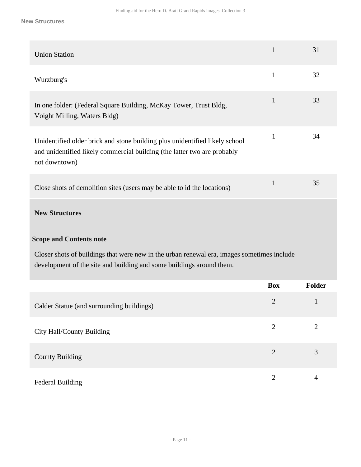#### **New Structures**

| <b>Union Station</b>                                                                                                                                                     | $\mathbf{1}$   | 31             |
|--------------------------------------------------------------------------------------------------------------------------------------------------------------------------|----------------|----------------|
| Wurzburg's                                                                                                                                                               | $\mathbf{1}$   | 32             |
| In one folder: (Federal Square Building, McKay Tower, Trust Bldg,<br>Voight Milling, Waters Bldg)                                                                        | $\mathbf{1}$   | 33             |
| Unidentified older brick and stone building plus unidentified likely school<br>and unidentified likely commercial building (the latter two are probably<br>not downtown) | $\mathbf{1}$   | 34             |
| Close shots of demolition sites (users may be able to id the locations)                                                                                                  | $\mathbf{1}$   | 35             |
| <b>New Structures</b>                                                                                                                                                    |                |                |
| <b>Scope and Contents note</b>                                                                                                                                           |                |                |
| Closer shots of buildings that were new in the urban renewal era, images sometimes include<br>development of the site and building and some buildings around them.       |                |                |
|                                                                                                                                                                          | <b>Box</b>     | Folder         |
| Calder Statue (and surrounding buildings)                                                                                                                                | $\overline{2}$ | $\mathbf{1}$   |
| City Hall/County Building                                                                                                                                                | $\overline{2}$ | $\mathbf{2}$   |
| <b>County Building</b>                                                                                                                                                   | $\overline{2}$ | 3              |
| <b>Federal Building</b>                                                                                                                                                  | $\overline{2}$ | $\overline{4}$ |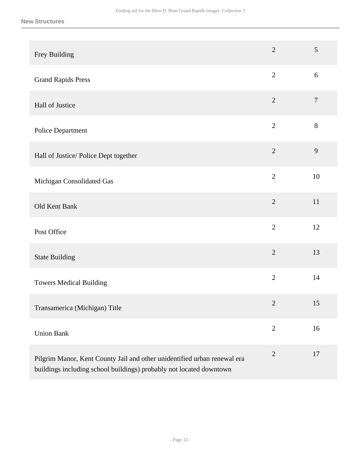| Frey Building                                                                                                                                   | $\overline{2}$ | 5      |
|-------------------------------------------------------------------------------------------------------------------------------------------------|----------------|--------|
| <b>Grand Rapids Press</b>                                                                                                                       | $\overline{2}$ | $6\,$  |
| Hall of Justice                                                                                                                                 | $\overline{2}$ | $\tau$ |
| Police Department                                                                                                                               | $\overline{2}$ | 8      |
| Hall of Justice/ Police Dept together                                                                                                           | $\overline{2}$ | 9      |
| Michigan Consolidated Gas                                                                                                                       | $\overline{2}$ | 10     |
| Old Kent Bank                                                                                                                                   | $\overline{2}$ | 11     |
| Post Office                                                                                                                                     | $\overline{2}$ | 12     |
| <b>State Building</b>                                                                                                                           | $\overline{2}$ | 13     |
| <b>Towers Medical Building</b>                                                                                                                  | $\overline{2}$ | 14     |
| Transamerica (Michigan) Title                                                                                                                   | $\mathbf{2}$   | 15     |
| <b>Union Bank</b>                                                                                                                               | $\mathbf{2}$   | 16     |
| Pilgrim Manor, Kent County Jail and other unidentified urban renewal era<br>buildings including school buildings) probably not located downtown | $\sqrt{2}$     | 17     |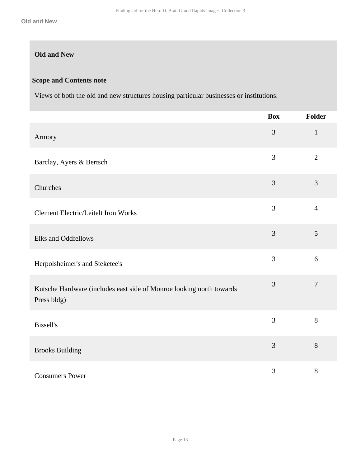## **Old and New**

#### **Scope and Contents note**

Views of both the old and new structures housing particular businesses or institutions.

|                                                                                     | <b>Box</b>     | Folder         |
|-------------------------------------------------------------------------------------|----------------|----------------|
| Armory                                                                              | 3              | $\mathbf{1}$   |
| Barclay, Ayers & Bertsch                                                            | 3              | $\overline{2}$ |
| Churches                                                                            | 3              | 3              |
| <b>Clement Electric/Leitelt Iron Works</b>                                          | 3              | $\overline{4}$ |
| Elks and Oddfellows                                                                 | $\mathfrak{Z}$ | 5              |
| Herpolsheimer's and Steketee's                                                      | 3              | 6              |
| Kutsche Hardware (includes east side of Monroe looking north towards<br>Press bldg) | 3              | $\overline{7}$ |
| <b>Bissell's</b>                                                                    | 3              | 8              |
| <b>Brooks Building</b>                                                              | 3              | 8              |
| <b>Consumers Power</b>                                                              | $\overline{3}$ | 8              |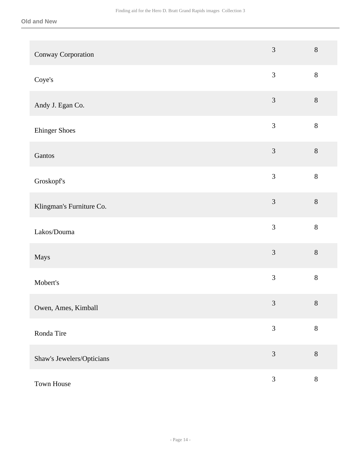| Conway Corporation        | 3                           | $8\,$   |
|---------------------------|-----------------------------|---------|
| Coye's                    | $\mathfrak{Z}$              | $8\,$   |
| Andy J. Egan Co.          | $\mathfrak{Z}$              | $8\,$   |
| <b>Ehinger Shoes</b>      | $\mathfrak{Z}$              | $8\,$   |
| Gantos                    | $\mathfrak{Z}$              | $8\,$   |
| Groskopf's                | $\overline{3}$              | 8       |
| Klingman's Furniture Co.  | 3                           | 8       |
| Lakos/Douma               | $\mathfrak{Z}$              | $8\,$   |
| Mays                      | 3                           | 8       |
| Mobert's                  | $\mathfrak{Z}$              | $8\,$   |
| Owen, Ames, Kimball       | $\ensuremath{\mathfrak{Z}}$ | $8\,$   |
| Ronda Tire                | 3                           | $\,8\,$ |
| Shaw's Jewelers/Opticians | $\mathfrak{Z}$              | $\,8\,$ |
| Town House                | $\mathfrak{Z}$              | $8\,$   |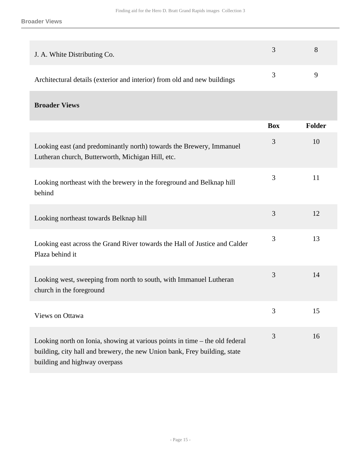| J. A. White Distributing Co.                                             | $-3$          | x |
|--------------------------------------------------------------------------|---------------|---|
| Architectural details (exterior and interior) from old and new buildings | $\mathcal{R}$ |   |

**Broader Views** 

|                                                                                                                                                                                           | <b>Box</b> | <b>Folder</b> |
|-------------------------------------------------------------------------------------------------------------------------------------------------------------------------------------------|------------|---------------|
| Looking east (and predominantly north) towards the Brewery, Immanuel<br>Lutheran church, Butterworth, Michigan Hill, etc.                                                                 | 3          | 10            |
| Looking northeast with the brewery in the foreground and Belknap hill<br>behind                                                                                                           | 3          | 11            |
| Looking northeast towards Belknap hill                                                                                                                                                    | 3          | 12            |
| Looking east across the Grand River towards the Hall of Justice and Calder<br>Plaza behind it                                                                                             | 3          | 13            |
| Looking west, sweeping from north to south, with Immanuel Lutheran<br>church in the foreground                                                                                            | 3          | 14            |
| Views on Ottawa                                                                                                                                                                           | 3          | 15            |
| Looking north on Ionia, showing at various points in time – the old federal<br>building, city hall and brewery, the new Union bank, Frey building, state<br>building and highway overpass | 3          | 16            |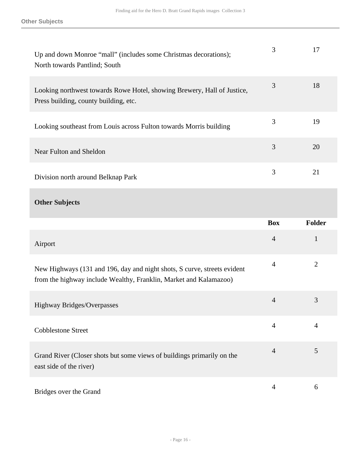| Up and down Monroe "mall" (includes some Christmas decorations);<br>North towards Pantlind; South                                             | 3              | 17             |
|-----------------------------------------------------------------------------------------------------------------------------------------------|----------------|----------------|
| Looking northwest towards Rowe Hotel, showing Brewery, Hall of Justice,<br>Press building, county building, etc.                              | 3              | 18             |
| Looking southeast from Louis across Fulton towards Morris building                                                                            | 3              | 19             |
| Near Fulton and Sheldon                                                                                                                       | 3              | 20             |
| Division north around Belknap Park                                                                                                            | 3              | 21             |
| <b>Other Subjects</b>                                                                                                                         |                |                |
|                                                                                                                                               |                |                |
|                                                                                                                                               | <b>Box</b>     | Folder         |
| Airport                                                                                                                                       | $\overline{4}$ | $\mathbf{1}$   |
| New Highways (131 and 196, day and night shots, S curve, streets evident<br>from the highway include Wealthy, Franklin, Market and Kalamazoo) | $\overline{4}$ | $\overline{2}$ |
| <b>Highway Bridges/Overpasses</b>                                                                                                             | $\overline{4}$ | 3              |
| <b>Cobblestone Street</b>                                                                                                                     | $\overline{4}$ | $\overline{4}$ |
| Grand River (Closer shots but some views of buildings primarily on the<br>east side of the river)                                             | $\overline{4}$ | 5              |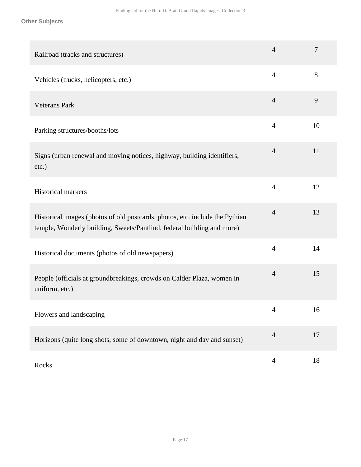**Other Subjects**

| Railroad (tracks and structures)                                                                                                                       | $\overline{4}$ | 7  |
|--------------------------------------------------------------------------------------------------------------------------------------------------------|----------------|----|
| Vehicles (trucks, helicopters, etc.)                                                                                                                   | $\overline{4}$ | 8  |
| <b>Veterans Park</b>                                                                                                                                   | $\overline{4}$ | 9  |
| Parking structures/booths/lots                                                                                                                         | $\overline{4}$ | 10 |
| Signs (urban renewal and moving notices, highway, building identifiers,<br>$etc.$ )                                                                    | $\overline{4}$ | 11 |
| Historical markers                                                                                                                                     | $\overline{4}$ | 12 |
| Historical images (photos of old postcards, photos, etc. include the Pythian<br>temple, Wonderly building, Sweets/Pantlind, federal building and more) | $\overline{4}$ | 13 |
| Historical documents (photos of old newspapers)                                                                                                        | $\overline{4}$ | 14 |
| People (officials at groundbreakings, crowds on Calder Plaza, women in<br>uniform, etc.)                                                               | $\overline{4}$ | 15 |
| Flowers and landscaping                                                                                                                                | $\overline{4}$ | 16 |
| Horizons (quite long shots, some of downtown, night and day and sunset)                                                                                | $\overline{4}$ | 17 |
| Rocks                                                                                                                                                  | $\overline{4}$ | 18 |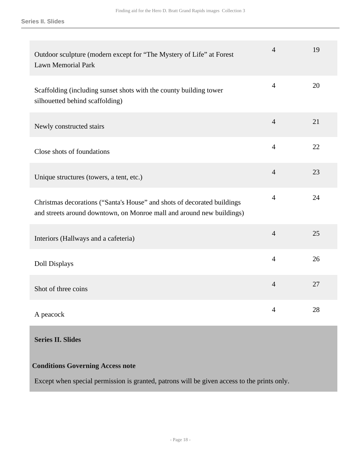**Series II. Slides**

| Outdoor sculpture (modern except for "The Mystery of Life" at Forest<br><b>Lawn Memorial Park</b>                                                | $\overline{4}$ | 19 |
|--------------------------------------------------------------------------------------------------------------------------------------------------|----------------|----|
| Scaffolding (including sunset shots with the county building tower<br>silhouetted behind scaffolding)                                            | $\overline{4}$ | 20 |
| Newly constructed stairs                                                                                                                         | $\overline{4}$ | 21 |
| Close shots of foundations                                                                                                                       | $\overline{4}$ | 22 |
| Unique structures (towers, a tent, etc.)                                                                                                         | $\overline{4}$ | 23 |
| Christmas decorations ("Santa's House" and shots of decorated buildings<br>and streets around downtown, on Monroe mall and around new buildings) | $\overline{4}$ | 24 |
| Interiors (Hallways and a cafeteria)                                                                                                             | $\overline{4}$ | 25 |
| <b>Doll Displays</b>                                                                                                                             | $\overline{4}$ | 26 |
| Shot of three coins                                                                                                                              | $\overline{4}$ | 27 |
| A peacock                                                                                                                                        | $\overline{4}$ | 28 |

## <span id="page-17-0"></span>**Series II. Slides**

### **Conditions Governing Access note**

Except when special permission is granted, patrons will be given access to the prints only.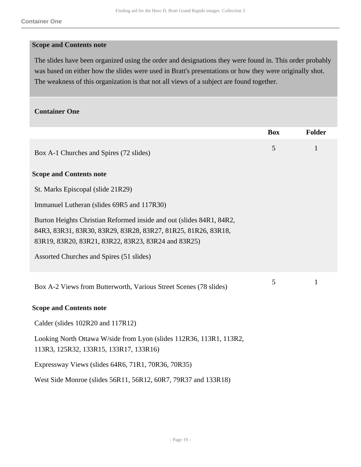#### **Scope and Contents note**

The slides have been organized using the order and designations they were found in. This order probably was based on either how the slides were used in Bratt's presentations or how they were originally shot. The weakness of this organization is that not all views of a subject are found together.

#### **Container One**

|                                                                                                                                                                                              | <b>Box</b> | <b>Folder</b> |
|----------------------------------------------------------------------------------------------------------------------------------------------------------------------------------------------|------------|---------------|
| Box A-1 Churches and Spires (72 slides)                                                                                                                                                      | 5          | $\mathbf{1}$  |
| <b>Scope and Contents note</b>                                                                                                                                                               |            |               |
| St. Marks Episcopal (slide 21R29)                                                                                                                                                            |            |               |
| Immanuel Lutheran (slides 69R5 and 117R30)                                                                                                                                                   |            |               |
| Burton Heights Christian Reformed inside and out (slides 84R1, 84R2,<br>84R3, 83R31, 83R30, 83R29, 83R28, 83R27, 81R25, 81R26, 83R18,<br>83R19, 83R20, 83R21, 83R22, 83R23, 83R24 and 83R25) |            |               |
| Assorted Churches and Spires (51 slides)                                                                                                                                                     |            |               |
| Box A-2 Views from Butterworth, Various Street Scenes (78 slides)                                                                                                                            | 5          | 1             |
| <b>Scope and Contents note</b>                                                                                                                                                               |            |               |
| Calder (slides 102R20 and 117R12)                                                                                                                                                            |            |               |
| Looking North Ottawa W/side from Lyon (slides 112R36, 113R1, 113R2,<br>113R3, 125R32, 133R15, 133R17, 133R16)                                                                                |            |               |
| Expressway Views (slides 64R6, 71R1, 70R36, 70R35)                                                                                                                                           |            |               |
| West Side Monroe (slides 56R11, 56R12, 60R7, 79R37 and 133R18)                                                                                                                               |            |               |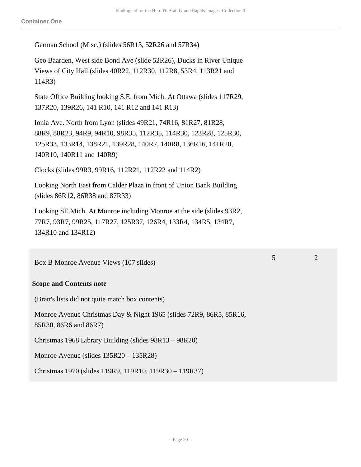**Container One**

German School (Misc.) (slides 56R13, 52R26 and 57R34)

Geo Baarden, West side Bond Ave (slide 52R26), Ducks in River Unique Views of City Hall (slides 40R22, 112R30, 112R8, 53R4, 113R21 and 114R3)

State Office Building looking S.E. from Mich. At Ottawa (slides 117R29, 137R20, 139R26, 141 R10, 141 R12 and 141 R13)

Ionia Ave. North from Lyon (slides 49R21, 74R16, 81R27, 81R28, 88R9, 88R23, 94R9, 94R10, 98R35, 112R35, 114R30, 123R28, 125R30, 125R33, 133R14, 138R21, 139R28, 140R7, 140R8, 136R16, 141R20, 140R10, 140R11 and 140R9)

Clocks (slides 99R3, 99R16, 112R21, 112R22 and 114R2)

Looking North East from Calder Plaza in front of Union Bank Building (slides 86R12, 86R38 and 87R33)

Looking SE Mich. At Monroe including Monroe at the side (slides 93R2, 77R7, 93R7, 99R25, 117R27, 125R37, 126R4, 133R4, 134R5, 134R7, 134R10 and 134R12)

Box B Monroe Avenue Views (107 slides)

#### **Scope and Contents note**

(Bratt's lists did not quite match box contents)

Monroe Avenue Christmas Day & Night 1965 (slides 72R9, 86R5, 85R16, 85R30, 86R6 and 86R7)

Christmas 1968 Library Building (slides 98R13 – 98R20)

Monroe Avenue (slides 135R20 – 135R28)

Christmas 1970 (slides 119R9, 119R10, 119R30 – 119R37)

5 2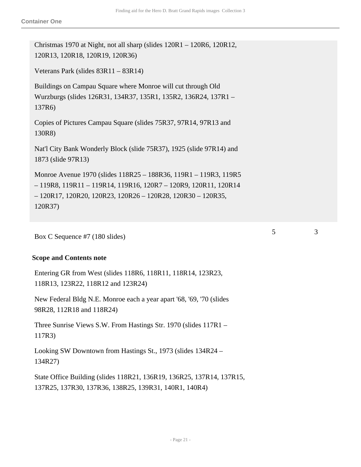Christmas 1970 at Night, not all sharp (slides 120R1 – 120R6, 120R12, 120R13, 120R18, 120R19, 120R36)

Veterans Park (slides 83R11 – 83R14)

Buildings on Campau Square where Monroe will cut through Old Wurzburgs (slides 126R31, 134R37, 135R1, 135R2, 136R24, 137R1 – 137R6)

Copies of Pictures Campau Square (slides 75R37, 97R14, 97R13 and 130R8)

Nat'l City Bank Wonderly Block (slide 75R37), 1925 (slide 97R14) and 1873 (slide 97R13)

Monroe Avenue 1970 (slides 118R25 – 188R36, 119R1 – 119R3, 119R5 – 119R8, 119R11 – 119R14, 119R16, 120R7 – 120R9, 120R11, 120R14 – 120R17, 120R20, 120R23, 120R26 – 120R28, 120R30 – 120R35, 120R37)

Box C Sequence #7 (180 slides)

#### **Scope and Contents note**

Entering GR from West (slides 118R6, 118R11, 118R14, 123R23, 118R13, 123R22, 118R12 and 123R24)

New Federal Bldg N.E. Monroe each a year apart '68, '69, '70 (slides 98R28, 112R18 and 118R24)

Three Sunrise Views S.W. From Hastings Str. 1970 (slides 117R1 – 117R3)

Looking SW Downtown from Hastings St., 1973 (slides 134R24 – 134R27)

State Office Building (slides 118R21, 136R19, 136R25, 137R14, 137R15, 137R25, 137R30, 137R36, 138R25, 139R31, 140R1, 140R4)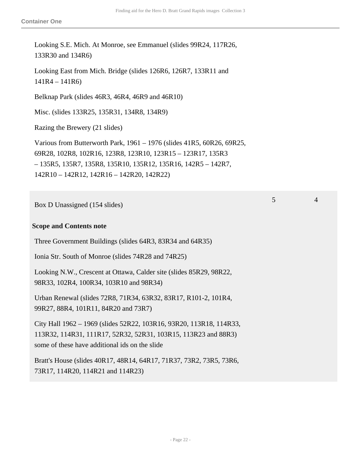5 4

Looking S.E. Mich. At Monroe, see Emmanuel (slides 99R24, 117R26, 133R30 and 134R6)

Looking East from Mich. Bridge (slides 126R6, 126R7, 133R11 and 141R4 – 141R6)

Belknap Park (slides 46R3, 46R4, 46R9 and 46R10)

Misc. (slides 133R25, 135R31, 134R8, 134R9)

Razing the Brewery (21 slides)

Various from Butterworth Park, 1961 – 1976 (slides 41R5, 60R26, 69R25, 69R28, 102R8, 102R16, 123R8, 123R10, 123R15 – 123R17, 135R3 – 135R5, 135R7, 135R8, 135R10, 135R12, 135R16, 142R5 – 142R7, 142R10 – 142R12, 142R16 – 142R20, 142R22)

Box D Unassigned (154 slides)

#### **Scope and Contents note**

Three Government Buildings (slides 64R3, 83R34 and 64R35)

Ionia Str. South of Monroe (slides 74R28 and 74R25)

Looking N.W., Crescent at Ottawa, Calder site (slides 85R29, 98R22, 98R33, 102R4, 100R34, 103R10 and 98R34)

Urban Renewal (slides 72R8, 71R34, 63R32, 83R17, R101-2, 101R4, 99R27, 88R4, 101R11, 84R20 and 73R7)

City Hall 1962 – 1969 (slides 52R22, 103R16, 93R20, 113R18, 114R33, 113R32, 114R31, 111R17, 52R32, 52R31, 103R15, 113R23 and 88R3) some of these have additional ids on the slide

Bratt's House (slides 40R17, 48R14, 64R17, 71R37, 73R2, 73R5, 73R6, 73R17, 114R20, 114R21 and 114R23)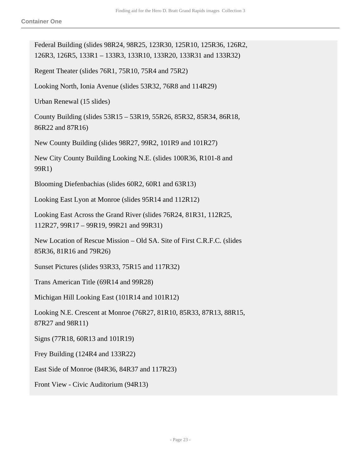Federal Building (slides 98R24, 98R25, 123R30, 125R10, 125R36, 126R2, 126R3, 126R5, 133R1 – 133R3, 133R10, 133R20, 133R31 and 133R32) Regent Theater (slides 76R1, 75R10, 75R4 and 75R2) Looking North, Ionia Avenue (slides 53R32, 76R8 and 114R29) Urban Renewal (15 slides) County Building (slides 53R15 – 53R19, 55R26, 85R32, 85R34, 86R18, 86R22 and 87R16) New County Building (slides 98R27, 99R2, 101R9 and 101R27) New City County Building Looking N.E. (slides 100R36, R101-8 and 99R1) Blooming Diefenbachias (slides 60R2, 60R1 and 63R13) Looking East Lyon at Monroe (slides 95R14 and 112R12) Looking East Across the Grand River (slides 76R24, 81R31, 112R25, 112R27, 99R17 – 99R19, 99R21 and 99R31) New Location of Rescue Mission – Old SA. Site of First C.R.F.C. (slides 85R36, 81R16 and 79R26) Sunset Pictures (slides 93R33, 75R15 and 117R32) Trans American Title (69R14 and 99R28) Michigan Hill Looking East (101R14 and 101R12) Looking N.E. Crescent at Monroe (76R27, 81R10, 85R33, 87R13, 88R15, 87R27 and 98R11) Signs (77R18, 60R13 and 101R19) Frey Building (124R4 and 133R22) East Side of Monroe (84R36, 84R37 and 117R23) Front View - Civic Auditorium (94R13)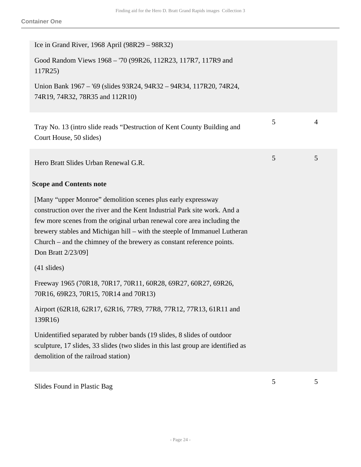| Ice in Grand River, 1968 April (98R29 – 98R32)                                                                                                                                                                                                                                                                                                                                                   |   |   |
|--------------------------------------------------------------------------------------------------------------------------------------------------------------------------------------------------------------------------------------------------------------------------------------------------------------------------------------------------------------------------------------------------|---|---|
| Good Random Views 1968 - '70 (99R26, 112R23, 117R7, 117R9 and<br>117R25)                                                                                                                                                                                                                                                                                                                         |   |   |
| Union Bank 1967 – '69 (slides 93R24, 94R32 – 94R34, 117R20, 74R24,<br>74R19, 74R32, 78R35 and 112R10)                                                                                                                                                                                                                                                                                            |   |   |
| Tray No. 13 (intro slide reads "Destruction of Kent County Building and<br>Court House, 50 slides)                                                                                                                                                                                                                                                                                               | 5 | 4 |
| Hero Bratt Slides Urban Renewal G.R.                                                                                                                                                                                                                                                                                                                                                             | 5 | 5 |
| <b>Scope and Contents note</b>                                                                                                                                                                                                                                                                                                                                                                   |   |   |
| [Many "upper Monroe" demolition scenes plus early expressway<br>construction over the river and the Kent Industrial Park site work. And a<br>few more scenes from the original urban renewal core area including the<br>brewery stables and Michigan hill – with the steeple of Immanuel Lutheran<br>Church – and the chimney of the brewery as constant reference points.<br>Don Bratt 2/23/09] |   |   |
| $(41 \text{ slides})$                                                                                                                                                                                                                                                                                                                                                                            |   |   |
| Freeway 1965 (70R18, 70R17, 70R11, 60R28, 69R27, 60R27, 69R26,<br>70R16, 69R23, 70R15, 70R14 and 70R13)                                                                                                                                                                                                                                                                                          |   |   |
| Airport (62R18, 62R17, 62R16, 77R9, 77R8, 77R12, 77R13, 61R11 and<br>139R16)                                                                                                                                                                                                                                                                                                                     |   |   |
| Unidentified separated by rubber bands (19 slides, 8 slides of outdoor<br>sculpture, 17 slides, 33 slides (two slides in this last group are identified as<br>demolition of the railroad station)                                                                                                                                                                                                |   |   |
|                                                                                                                                                                                                                                                                                                                                                                                                  |   |   |

Slides Found in Plastic Bag <sup>5</sup> <sup>5</sup>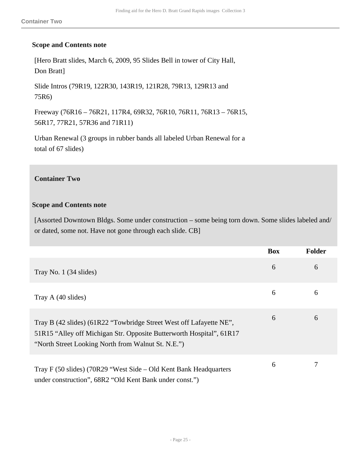#### **Scope and Contents note**

[Hero Bratt slides, March 6, 2009, 95 Slides Bell in tower of City Hall, Don Bratt]

Slide Intros (79R19, 122R30, 143R19, 121R28, 79R13, 129R13 and 75R6)

Freeway (76R16 – 76R21, 117R4, 69R32, 76R10, 76R11, 76R13 – 76R15, 56R17, 77R21, 57R36 and 71R11)

Urban Renewal (3 groups in rubber bands all labeled Urban Renewal for a total of 67 slides)

#### **Container Two**

#### **Scope and Contents note**

[Assorted Downtown Bldgs. Some under construction – some being torn down. Some slides labeled and/ or dated, some not. Have not gone through each slide. CB]

|                                                                                                                                                                                                   | <b>Box</b> | <b>Folder</b> |
|---------------------------------------------------------------------------------------------------------------------------------------------------------------------------------------------------|------------|---------------|
| Tray No. 1 (34 slides)                                                                                                                                                                            | 6          | 6             |
| Tray A (40 slides)                                                                                                                                                                                | 6          | 6             |
| Tray B (42 slides) (61R22 "Towbridge Street West off Lafayette NE",<br>51R15 "Alley off Michigan Str. Opposite Butterworth Hospital", 61R17<br>"North Street Looking North from Walnut St. N.E.") | 6          | 6             |
| Tray F (50 slides) (70R29 "West Side – Old Kent Bank Headquarters<br>under construction", 68R2 "Old Kent Bank under const.")                                                                      | 6          |               |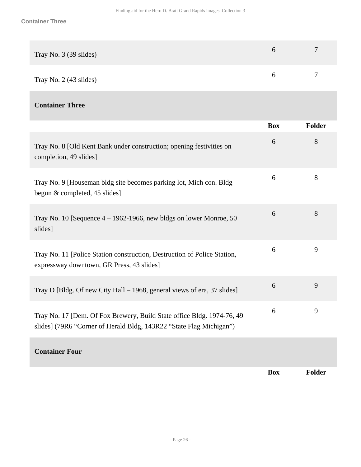| Tray No. 3 (39 slides) | $\overline{ }$ |
|------------------------|----------------|
| Tray No. 2 (43 slides) |                |

### **Container Three**

|                                                                                                                                               | <b>Box</b> | <b>Folder</b> |
|-----------------------------------------------------------------------------------------------------------------------------------------------|------------|---------------|
| Tray No. 8 [Old Kent Bank under construction; opening festivities on<br>completion, 49 slides]                                                | 6          | 8             |
| Tray No. 9 [Houseman bldg site becomes parking lot, Mich con. Bldg<br>begun & completed, 45 slides]                                           | 6          | 8             |
| Tray No. 10 [Sequence $4 - 1962 - 1966$ , new bldgs on lower Monroe, 50<br>slides]                                                            | 6          | 8             |
| Tray No. 11 [Police Station construction, Destruction of Police Station,<br>expressway downtown, GR Press, 43 slides]                         | 6          | 9             |
| Tray D [Bldg. Of new City Hall – 1968, general views of era, 37 slides]                                                                       | 6          | 9             |
| Tray No. 17 [Dem. Of Fox Brewery, Build State office Bldg. 1974-76, 49<br>slides] (79R6 "Corner of Herald Bldg, 143R22 "State Flag Michigan") | 6          | 9             |
| <b>Container Four</b>                                                                                                                         |            |               |

**Box Folder**